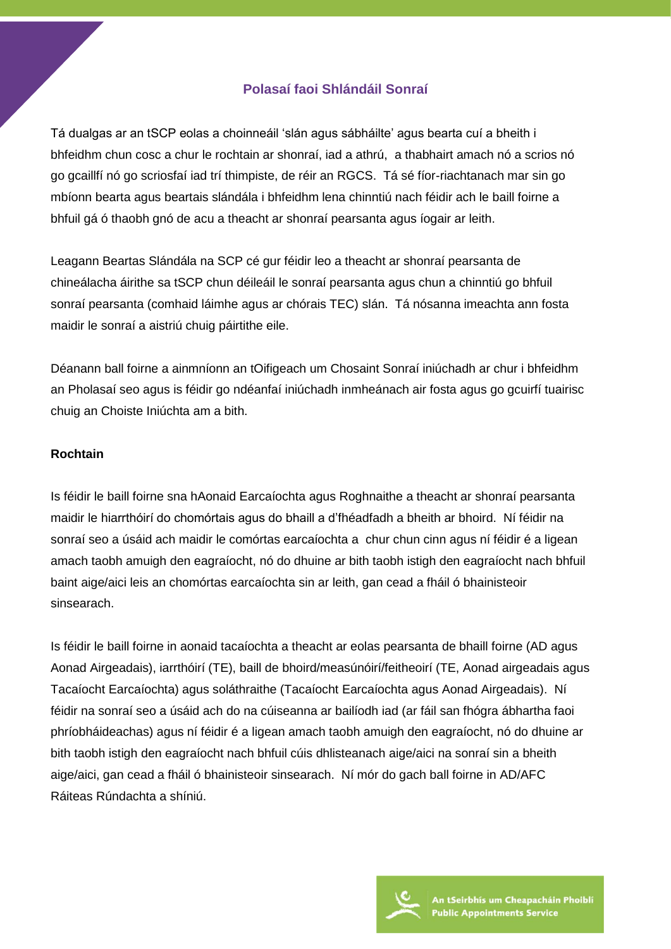## **Polasaí faoi Shlándáil Sonraí**

Tá dualgas ar an tSCP eolas a choinneáil 'slán agus sábháilte' agus bearta cuí a bheith i bhfeidhm chun cosc a chur le rochtain ar shonraí, iad a athrú, a thabhairt amach nó a scrios nó go gcaillfí nó go scriosfaí iad trí thimpiste, de réir an RGCS. Tá sé fíor-riachtanach mar sin go mbíonn bearta agus beartais slándála i bhfeidhm lena chinntiú nach féidir ach le baill foirne a bhfuil gá ó thaobh gnó de acu a theacht ar shonraí pearsanta agus íogair ar leith.

Leagann Beartas Slándála na SCP cé gur féidir leo a theacht ar shonraí pearsanta de chineálacha áirithe sa tSCP chun déileáil le sonraí pearsanta agus chun a chinntiú go bhfuil sonraí pearsanta (comhaid láimhe agus ar chórais TEC) slán. Tá nósanna imeachta ann fosta maidir le sonraí a aistriú chuig páirtithe eile.

Déanann ball foirne a ainmníonn an tOifigeach um Chosaint Sonraí iniúchadh ar chur i bhfeidhm an Pholasaí seo agus is féidir go ndéanfaí iniúchadh inmheánach air fosta agus go gcuirfí tuairisc chuig an Choiste Iniúchta am a bith.

#### **Rochtain**

Is féidir le baill foirne sna hAonaid Earcaíochta agus Roghnaithe a theacht ar shonraí pearsanta maidir le hiarrthóirí do chomórtais agus do bhaill a d'fhéadfadh a bheith ar bhoird. Ní féidir na sonraí seo a úsáid ach maidir le comórtas earcaíochta a chur chun cinn agus ní féidir é a ligean amach taobh amuigh den eagraíocht, nó do dhuine ar bith taobh istigh den eagraíocht nach bhfuil baint aige/aici leis an chomórtas earcaíochta sin ar leith, gan cead a fháil ó bhainisteoir sinsearach.

Is féidir le baill foirne in aonaid tacaíochta a theacht ar eolas pearsanta de bhaill foirne (AD agus Aonad Airgeadais), iarrthóirí (TE), baill de bhoird/measúnóirí/feitheoirí (TE, Aonad airgeadais agus Tacaíocht Earcaíochta) agus soláthraithe (Tacaíocht Earcaíochta agus Aonad Airgeadais). Ní féidir na sonraí seo a úsáid ach do na cúiseanna ar bailíodh iad (ar fáil san fhógra ábhartha faoi phríobháideachas) agus ní féidir é a ligean amach taobh amuigh den eagraíocht, nó do dhuine ar bith taobh istigh den eagraíocht nach bhfuil cúis dhlisteanach aige/aici na sonraí sin a bheith aige/aici, gan cead a fháil ó bhainisteoir sinsearach. Ní mór do gach ball foirne in AD/AFC Ráiteas Rúndachta a shíniú.

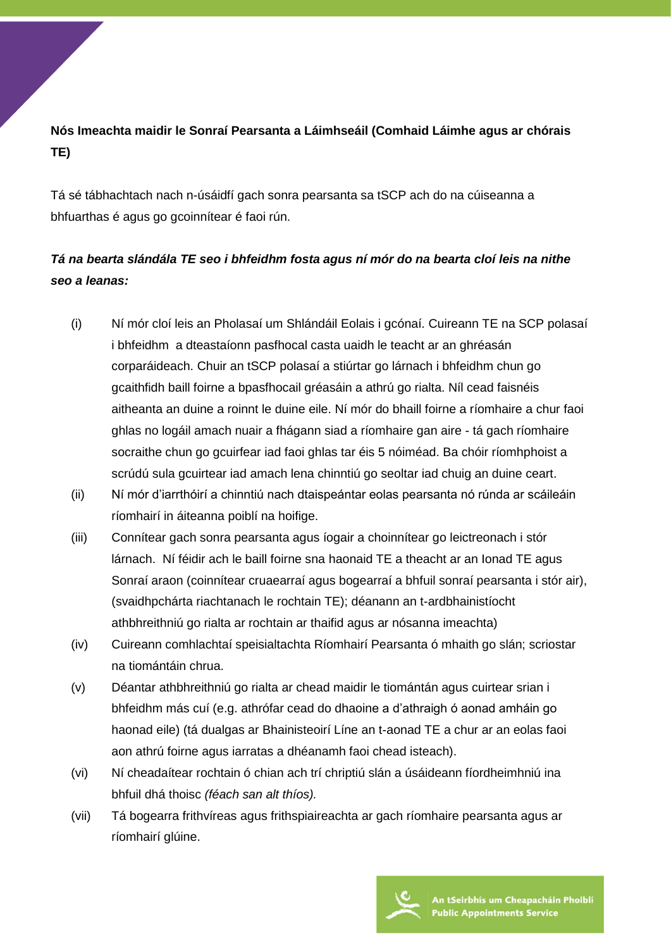## **Nós Imeachta maidir le Sonraí Pearsanta a Láimhseáil (Comhaid Láimhe agus ar chórais TE)**

Tá sé tábhachtach nach n-úsáidfí gach sonra pearsanta sa tSCP ach do na cúiseanna a bhfuarthas é agus go gcoinnítear é faoi rún.

# *Tá na bearta slándála TE seo i bhfeidhm fosta agus ní mór do na bearta cloí leis na nithe seo a leanas:*

- (i) Ní mór cloí leis an Pholasaí um Shlándáil Eolais i gcónaí. Cuireann TE na SCP polasaí i bhfeidhm a dteastaíonn pasfhocal casta uaidh le teacht ar an ghréasán corparáideach. Chuir an tSCP polasaí a stiúrtar go lárnach i bhfeidhm chun go gcaithfidh baill foirne a bpasfhocail gréasáin a athrú go rialta. Níl cead faisnéis aitheanta an duine a roinnt le duine eile. Ní mór do bhaill foirne a ríomhaire a chur faoi ghlas no logáil amach nuair a fhágann siad a ríomhaire gan aire - tá gach ríomhaire socraithe chun go gcuirfear iad faoi ghlas tar éis 5 nóiméad. Ba chóir ríomhphoist a scrúdú sula gcuirtear iad amach lena chinntiú go seoltar iad chuig an duine ceart.
- (ii) Ní mór d'iarrthóirí a chinntiú nach dtaispeántar eolas pearsanta nó rúnda ar scáileáin ríomhairí in áiteanna poiblí na hoifige.
- (iii) Connítear gach sonra pearsanta agus íogair a choinnítear go leictreonach i stór lárnach. Ní féidir ach le baill foirne sna haonaid TE a theacht ar an Ionad TE agus Sonraí araon (coinnítear cruaearraí agus bogearraí a bhfuil sonraí pearsanta i stór air), (svaidhpchárta riachtanach le rochtain TE); déanann an t-ardbhainistíocht athbhreithniú go rialta ar rochtain ar thaifid agus ar nósanna imeachta)
- (iv) Cuireann comhlachtaí speisialtachta Ríomhairí Pearsanta ó mhaith go slán; scriostar na tiomántáin chrua.
- (v) Déantar athbhreithniú go rialta ar chead maidir le tiomántán agus cuirtear srian i bhfeidhm más cuí (e.g. athrófar cead do dhaoine a d'athraigh ó aonad amháin go haonad eile) (tá dualgas ar Bhainisteoirí Líne an t-aonad TE a chur ar an eolas faoi aon athrú foirne agus iarratas a dhéanamh faoi chead isteach).
- (vi) Ní cheadaítear rochtain ó chian ach trí chriptiú slán a úsáideann fíordheimhniú ina bhfuil dhá thoisc *(féach san alt thíos).*
- (vii) Tá bogearra frithvíreas agus frithspiaireachta ar gach ríomhaire pearsanta agus ar ríomhairí glúine.

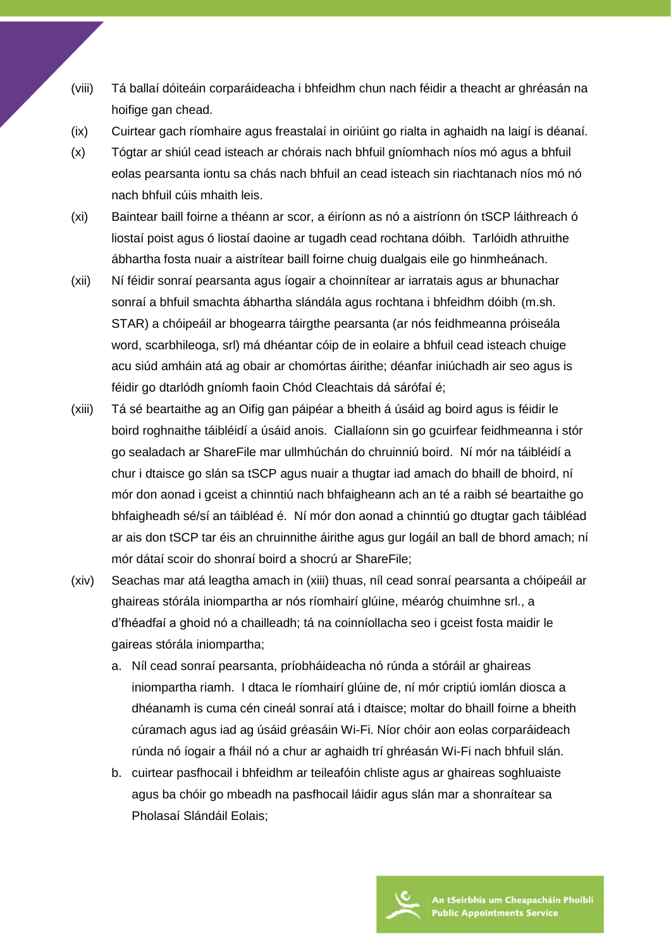- (viii) Tá ballaí dóiteáin corparáideacha i bhfeidhm chun nach féidir a theacht ar ghréasán na hoifige gan chead.
- (ix) Cuirtear gach ríomhaire agus freastalaí in oiriúint go rialta in aghaidh na laigí is déanaí.
- (x) Tógtar ar shiúl cead isteach ar chórais nach bhfuil gníomhach níos mó agus a bhfuil eolas pearsanta iontu sa chás nach bhfuil an cead isteach sin riachtanach níos mó nó nach bhfuil cúis mhaith leis.
- (xi) Baintear baill foirne a théann ar scor, a éiríonn as nó a aistríonn ón tSCP láithreach ó liostaí poist agus ó liostaí daoine ar tugadh cead rochtana dóibh. Tarlóidh athruithe ábhartha fosta nuair a aistrítear baill foirne chuig dualgais eile go hinmheánach.
- (xii) Ní féidir sonraí pearsanta agus íogair a choinnítear ar iarratais agus ar bhunachar sonraí a bhfuil smachta ábhartha slándála agus rochtana i bhfeidhm dóibh (m.sh. STAR) a chóipeáil ar bhogearra táirgthe pearsanta (ar nós feidhmeanna próiseála word, scarbhileoga, srl) má dhéantar cóip de in eolaire a bhfuil cead isteach chuige acu siúd amháin atá ag obair ar chomórtas áirithe; déanfar iniúchadh air seo agus is féidir go dtarlódh gníomh faoin Chód Cleachtais dá sárófaí é;
- (xiii) Tá sé beartaithe ag an Oifig gan páipéar a bheith á úsáid ag boird agus is féidir le boird roghnaithe táibléidí a úsáid anois. Ciallaíonn sin go gcuirfear feidhmeanna i stór go sealadach ar ShareFile mar ullmhúchán do chruinniú boird. Ní mór na táibléidí a chur i dtaisce go slán sa tSCP agus nuair a thugtar iad amach do bhaill de bhoird, ní mór don aonad i gceist a chinntiú nach bhfaigheann ach an té a raibh sé beartaithe go bhfaigheadh sé/sí an táibléad é. Ní mór don aonad a chinntiú go dtugtar gach táibléad ar ais don tSCP tar éis an chruinnithe áirithe agus gur logáil an ball de bhord amach; ní mór dátaí scoir do shonraí boird a shocrú ar ShareFile;
- (xiv) Seachas mar atá leagtha amach in (xiii) thuas, níl cead sonraí pearsanta a chóipeáil ar ghaireas stórála iniompartha ar nós ríomhairí glúine, méaróg chuimhne srl., a d'fhéadfaí a ghoid nó a chailleadh; tá na coinníollacha seo i gceist fosta maidir le gaireas stórála iniompartha;
	- a. Níl cead sonraí pearsanta, príobháideacha nó rúnda a stóráil ar ghaireas iniompartha riamh. I dtaca le ríomhairí glúine de, ní mór criptiú iomlán diosca a dhéanamh is cuma cén cineál sonraí atá i dtaisce; moltar do bhaill foirne a bheith cúramach agus iad ag úsáid gréasáin Wi-Fi. Níor chóir aon eolas corparáideach rúnda nó íogair a fháil nó a chur ar aghaidh trí ghréasán Wi-Fi nach bhfuil slán.
	- b. cuirtear pasfhocail i bhfeidhm ar teileafóin chliste agus ar ghaireas soghluaiste agus ba chóir go mbeadh na pasfhocail láidir agus slán mar a shonraítear sa Pholasaí Slándáil Eolais;

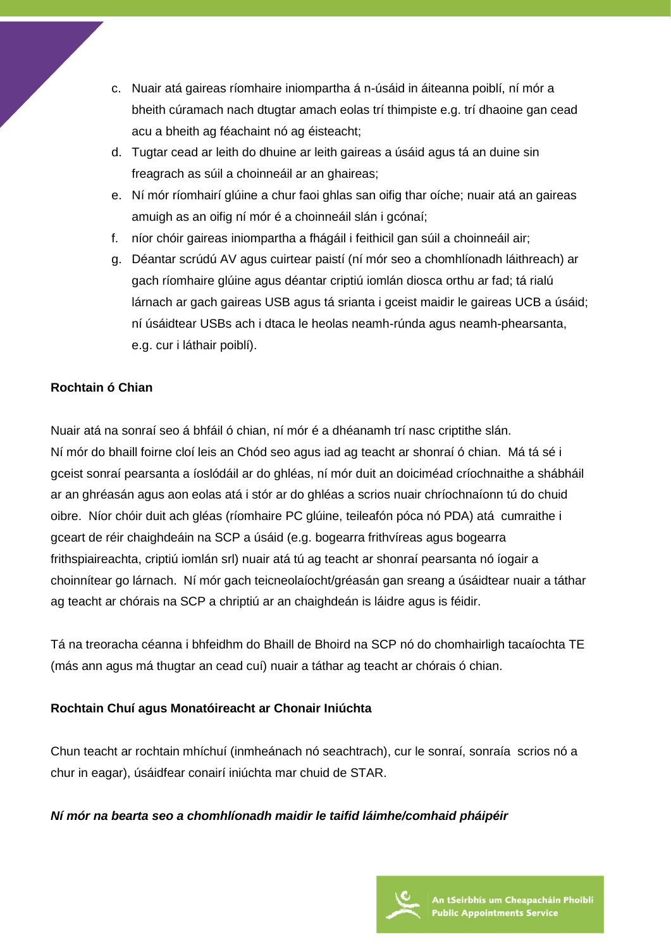- c. Nuair atá gaireas ríomhaire iniompartha á n-úsáid in áiteanna poiblí, ní mór a bheith cúramach nach dtugtar amach eolas trí thimpiste e.g. trí dhaoine gan cead acu a bheith ag féachaint nó ag éisteacht;
- d. Tugtar cead ar leith do dhuine ar leith gaireas a úsáid agus tá an duine sin freagrach as súil a choinneáil ar an ghaireas;
- e. Ní mór ríomhairí glúine a chur faoi ghlas san oifig thar oíche; nuair atá an gaireas amuigh as an oifig ní mór é a choinneáil slán i gcónaí;
- f. níor chóir gaireas iniompartha a fhágáil i feithicil gan súil a choinneáil air;
- g. Déantar scrúdú AV agus cuirtear paistí (ní mór seo a chomhlíonadh láithreach) ar gach ríomhaire glúine agus déantar criptiú iomlán diosca orthu ar fad; tá rialú lárnach ar gach gaireas USB agus tá srianta i gceist maidir le gaireas UCB a úsáid; ní úsáidtear USBs ach i dtaca le heolas neamh-rúnda agus neamh-phearsanta, e.g. cur i láthair poiblí).

## **Rochtain ó Chian**

Nuair atá na sonraí seo á bhfáil ó chian, ní mór é a dhéanamh trí nasc criptithe slán. Ní mór do bhaill foirne cloí leis an Chód seo agus iad ag teacht ar shonraí ó chian. Má tá sé i gceist sonraí pearsanta a íoslódáil ar do ghléas, ní mór duit an doiciméad críochnaithe a shábháil ar an ghréasán agus aon eolas atá i stór ar do ghléas a scrios nuair chríochnaíonn tú do chuid oibre. Níor chóir duit ach gléas (ríomhaire PC glúine, teileafón póca nó PDA) atá cumraithe i gceart de réir chaighdeáin na SCP a úsáid (e.g. bogearra frithvíreas agus bogearra frithspiaireachta, criptiú iomlán srl) nuair atá tú ag teacht ar shonraí pearsanta nó íogair a choinnítear go lárnach. Ní mór gach teicneolaíocht/gréasán gan sreang a úsáidtear nuair a táthar ag teacht ar chórais na SCP a chriptiú ar an chaighdeán is láidre agus is féidir.

Tá na treoracha céanna i bhfeidhm do Bhaill de Bhoird na SCP nó do chomhairligh tacaíochta TE (más ann agus má thugtar an cead cuí) nuair a táthar ag teacht ar chórais ó chian.

### **Rochtain Chuí agus Monatóireacht ar Chonair Iniúchta**

Chun teacht ar rochtain mhíchuí (inmheánach nó seachtrach), cur le sonraí, sonraía scrios nó a chur in eagar), úsáidfear conairí iniúchta mar chuid de STAR.

### *Ní mór na bearta seo a chomhlíonadh maidir le taifid láimhe/comhaid pháipéir*

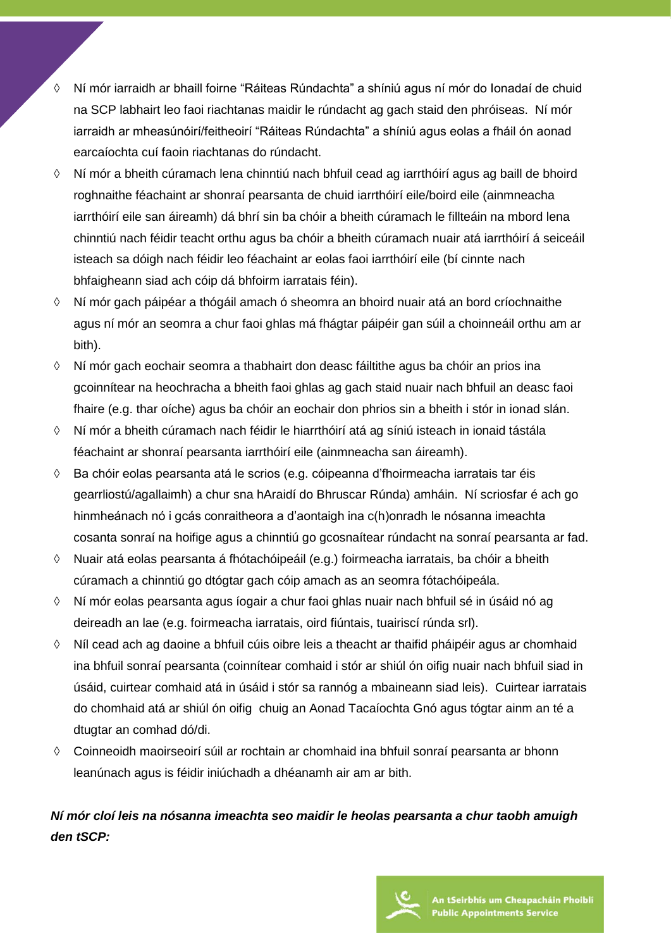- ◊ Ní mór iarraidh ar bhaill foirne "Ráiteas Rúndachta" a shíniú agus ní mór do Ionadaí de chuid na SCP labhairt leo faoi riachtanas maidir le rúndacht ag gach staid den phróiseas. Ní mór iarraidh ar mheasúnóirí/feitheoirí "Ráiteas Rúndachta" a shíniú agus eolas a fháil ón aonad earcaíochta cuí faoin riachtanas do rúndacht.
- ◊ Ní mór a bheith cúramach lena chinntiú nach bhfuil cead ag iarrthóirí agus ag baill de bhoird roghnaithe féachaint ar shonraí pearsanta de chuid iarrthóirí eile/boird eile (ainmneacha iarrthóirí eile san áireamh) dá bhrí sin ba chóir a bheith cúramach le fillteáin na mbord lena chinntiú nach féidir teacht orthu agus ba chóir a bheith cúramach nuair atá iarrthóirí á seiceáil isteach sa dóigh nach féidir leo féachaint ar eolas faoi iarrthóirí eile (bí cinnte nach bhfaigheann siad ach cóip dá bhfoirm iarratais féin).
- ◊ Ní mór gach páipéar a thógáil amach ó sheomra an bhoird nuair atá an bord críochnaithe agus ní mór an seomra a chur faoi ghlas má fhágtar páipéir gan súil a choinneáil orthu am ar bith).
- ◊ Ní mór gach eochair seomra a thabhairt don deasc fáiltithe agus ba chóir an prios ina gcoinnítear na heochracha a bheith faoi ghlas ag gach staid nuair nach bhfuil an deasc faoi fhaire (e.g. thar oíche) agus ba chóir an eochair don phrios sin a bheith i stór in ionad slán.
- ◊ Ní mór a bheith cúramach nach féidir le hiarrthóirí atá ag síniú isteach in ionaid tástála féachaint ar shonraí pearsanta iarrthóirí eile (ainmneacha san áireamh).
- ◊ Ba chóir eolas pearsanta atá le scrios (e.g. cóipeanna d'fhoirmeacha iarratais tar éis gearrliostú/agallaimh) a chur sna hAraidí do Bhruscar Rúnda) amháin. Ní scriosfar é ach go hinmheánach nó i gcás conraitheora a d'aontaigh ina c(h)onradh le nósanna imeachta cosanta sonraí na hoifige agus a chinntiú go gcosnaítear rúndacht na sonraí pearsanta ar fad.
- ◊ Nuair atá eolas pearsanta á fhótachóipeáil (e.g.) foirmeacha iarratais, ba chóir a bheith cúramach a chinntiú go dtógtar gach cóip amach as an seomra fótachóipeála.
- ◊ Ní mór eolas pearsanta agus íogair a chur faoi ghlas nuair nach bhfuil sé in úsáid nó ag deireadh an lae (e.g. foirmeacha iarratais, oird fiúntais, tuairiscí rúnda srl).
- ◊ Níl cead ach ag daoine a bhfuil cúis oibre leis a theacht ar thaifid pháipéir agus ar chomhaid ina bhfuil sonraí pearsanta (coinnítear comhaid i stór ar shiúl ón oifig nuair nach bhfuil siad in úsáid, cuirtear comhaid atá in úsáid i stór sa rannóg a mbaineann siad leis). Cuirtear iarratais do chomhaid atá ar shiúl ón oifig chuig an Aonad Tacaíochta Gnó agus tógtar ainm an té a dtugtar an comhad dó/di.
- ◊ Coinneoidh maoirseoirí súil ar rochtain ar chomhaid ina bhfuil sonraí pearsanta ar bhonn leanúnach agus is féidir iniúchadh a dhéanamh air am ar bith.

## *Ní mór cloí leis na nósanna imeachta seo maidir le heolas pearsanta a chur taobh amuigh den tSCP:*

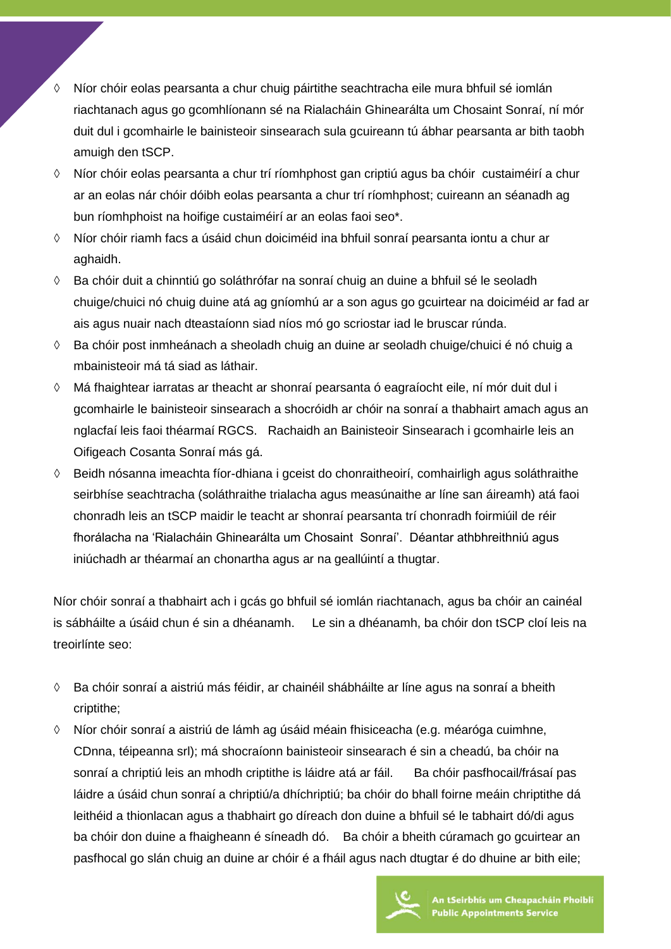- ◊ Níor chóir eolas pearsanta a chur chuig páirtithe seachtracha eile mura bhfuil sé iomlán riachtanach agus go gcomhlíonann sé na Rialacháin Ghinearálta um Chosaint Sonraí, ní mór duit dul i gcomhairle le bainisteoir sinsearach sula gcuireann tú ábhar pearsanta ar bith taobh amuigh den tSCP.
- ◊ Níor chóir eolas pearsanta a chur trí ríomhphost gan criptiú agus ba chóir custaiméirí a chur ar an eolas nár chóir dóibh eolas pearsanta a chur trí ríomhphost; cuireann an séanadh ag bun ríomhphoist na hoifige custaiméirí ar an eolas faoi seo\*.
- ◊ Níor chóir riamh facs a úsáid chun doiciméid ina bhfuil sonraí pearsanta iontu a chur ar aghaidh.
- ◊ Ba chóir duit a chinntiú go soláthrófar na sonraí chuig an duine a bhfuil sé le seoladh chuige/chuici nó chuig duine atá ag gníomhú ar a son agus go gcuirtear na doiciméid ar fad ar ais agus nuair nach dteastaíonn siad níos mó go scriostar iad le bruscar rúnda.
- ◊ Ba chóir post inmheánach a sheoladh chuig an duine ar seoladh chuige/chuici é nó chuig a mbainisteoir má tá siad as láthair.
- ◊ Má fhaightear iarratas ar theacht ar shonraí pearsanta ó eagraíocht eile, ní mór duit dul i gcomhairle le bainisteoir sinsearach a shocróidh ar chóir na sonraí a thabhairt amach agus an nglacfaí leis faoi théarmaí RGCS. Rachaidh an Bainisteoir Sinsearach i gcomhairle leis an Oifigeach Cosanta Sonraí más gá.
- ◊ Beidh nósanna imeachta fíor-dhiana i gceist do chonraitheoirí, comhairligh agus soláthraithe seirbhíse seachtracha (soláthraithe trialacha agus measúnaithe ar líne san áireamh) atá faoi chonradh leis an tSCP maidir le teacht ar shonraí pearsanta trí chonradh foirmiúil de réir fhorálacha na 'Rialacháin Ghinearálta um Chosaint Sonraí'. Déantar athbhreithniú agus iniúchadh ar théarmaí an chonartha agus ar na geallúintí a thugtar.

Níor chóir sonraí a thabhairt ach i gcás go bhfuil sé iomlán riachtanach, agus ba chóir an cainéal is sábháilte a úsáid chun é sin a dhéanamh. Le sin a dhéanamh, ba chóir don tSCP cloí leis na treoirlínte seo:

- ◊ Ba chóir sonraí a aistriú más féidir, ar chainéil shábháilte ar líne agus na sonraí a bheith criptithe;
- ◊ Níor chóir sonraí a aistriú de lámh ag úsáid méain fhisiceacha (e.g. méaróga cuimhne, CDnna, téipeanna srl); má shocraíonn bainisteoir sinsearach é sin a cheadú, ba chóir na sonraí a chriptiú leis an mhodh criptithe is láidre atá ar fáil. Ba chóir pasfhocail/frásaí pas láidre a úsáid chun sonraí a chriptiú/a dhíchriptiú; ba chóir do bhall foirne meáin chriptithe dá leithéid a thionlacan agus a thabhairt go díreach don duine a bhfuil sé le tabhairt dó/di agus ba chóir don duine a fhaigheann é síneadh dó. Ba chóir a bheith cúramach go gcuirtear an pasfhocal go slán chuig an duine ar chóir é a fháil agus nach dtugtar é do dhuine ar bith eile;